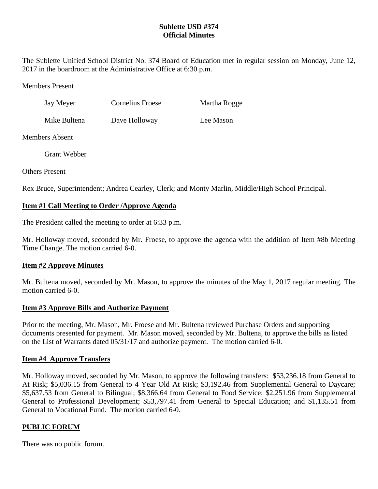## **Sublette USD #374 Official Minutes**

The Sublette Unified School District No. 374 Board of Education met in regular session on Monday, June 12, 2017 in the boardroom at the Administrative Office at 6:30 p.m.

### Members Present

| Jay Meyer    | Cornelius Froese | Martha Rogge |
|--------------|------------------|--------------|
| Mike Bultena | Dave Holloway    | Lee Mason    |

## Members Absent

Grant Webber

Others Present

Rex Bruce, Superintendent; Andrea Cearley, Clerk; and Monty Marlin, Middle/High School Principal.

# **Item #1 Call Meeting to Order /Approve Agenda**

The President called the meeting to order at 6:33 p.m.

Mr. Holloway moved, seconded by Mr. Froese, to approve the agenda with the addition of Item #8b Meeting Time Change. The motion carried 6-0.

## **Item #2 Approve Minutes**

Mr. Bultena moved, seconded by Mr. Mason, to approve the minutes of the May 1, 2017 regular meeting. The motion carried 6-0

## **Item #3 Approve Bills and Authorize Payment**

Prior to the meeting, Mr. Mason, Mr. Froese and Mr. Bultena reviewed Purchase Orders and supporting documents presented for payment. Mr. Mason moved, seconded by Mr. Bultena, to approve the bills as listed on the List of Warrants dated 05/31/17 and authorize payment. The motion carried 6-0.

## **Item #4 Approve Transfers**

Mr. Holloway moved, seconded by Mr. Mason, to approve the following transfers: \$53,236.18 from General to At Risk; \$5,036.15 from General to 4 Year Old At Risk; \$3,192.46 from Supplemental General to Daycare; \$5,637.53 from General to Bilingual; \$8,366.64 from General to Food Service; \$2,251.96 from Supplemental General to Professional Development; \$53,797.41 from General to Special Education; and \$1,135.51 from General to Vocational Fund. The motion carried 6-0.

## **PUBLIC FORUM**

There was no public forum.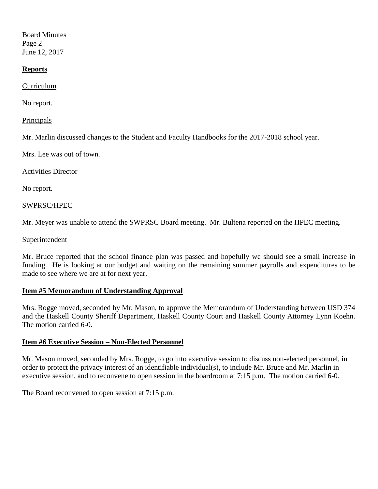Board Minutes Page 2 June 12, 2017

#### **Reports**

Curriculum

No report.

**Principals** 

Mr. Marlin discussed changes to the Student and Faculty Handbooks for the 2017-2018 school year.

Mrs. Lee was out of town.

Activities Director

No report.

#### SWPRSC/HPEC

Mr. Meyer was unable to attend the SWPRSC Board meeting. Mr. Bultena reported on the HPEC meeting.

#### Superintendent

Mr. Bruce reported that the school finance plan was passed and hopefully we should see a small increase in funding. He is looking at our budget and waiting on the remaining summer payrolls and expenditures to be made to see where we are at for next year.

#### **Item #5 Memorandum of Understanding Approval**

Mrs. Rogge moved, seconded by Mr. Mason, to approve the Memorandum of Understanding between USD 374 and the Haskell County Sheriff Department, Haskell County Court and Haskell County Attorney Lynn Koehn. The motion carried 6-0.

#### **Item #6 Executive Session – Non-Elected Personnel**

Mr. Mason moved, seconded by Mrs. Rogge, to go into executive session to discuss non-elected personnel, in order to protect the privacy interest of an identifiable individual(s), to include Mr. Bruce and Mr. Marlin in executive session, and to reconvene to open session in the boardroom at 7:15 p.m. The motion carried 6-0.

The Board reconvened to open session at 7:15 p.m.